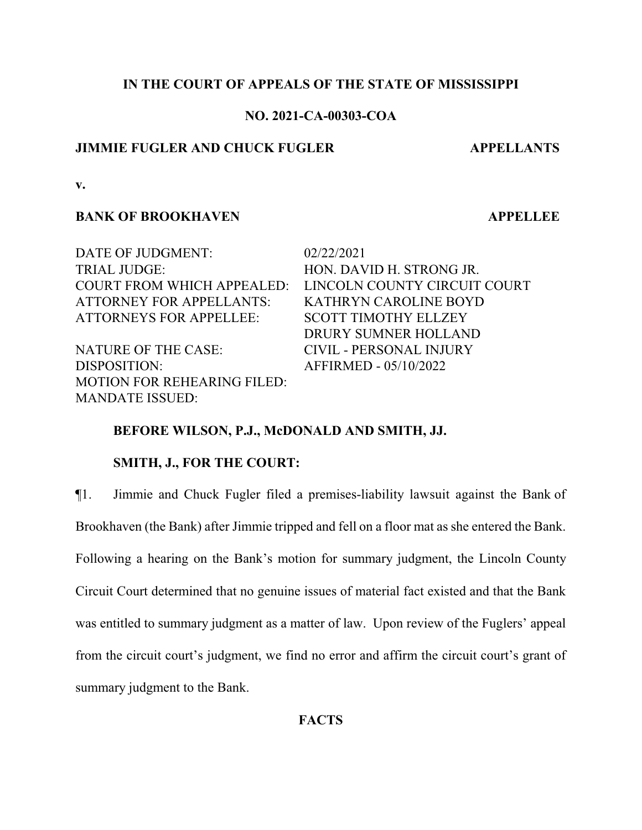# **IN THE COURT OF APPEALS OF THE STATE OF MISSISSIPPI**

# **NO. 2021-CA-00303-COA**

# **JIMMIE FUGLER AND CHUCK FUGLER APPELLANTS**

**v.**

# **BANK OF BROOKHAVEN APPELLEE**

| 02/22/2021                     |
|--------------------------------|
| HON. DAVID H. STRONG JR.       |
| LINCOLN COUNTY CIRCUIT COURT   |
| <b>KATHRYN CAROLINE BOYD</b>   |
| <b>SCOTT TIMOTHY ELLZEY</b>    |
| DRURY SUMNER HOLLAND           |
| <b>CIVIL - PERSONAL INJURY</b> |
| AFFIRMED - 05/10/2022          |
|                                |
|                                |
|                                |

# **BEFORE WILSON, P.J., McDONALD AND SMITH, JJ.**

# **SMITH, J., FOR THE COURT:**

¶1. Jimmie and Chuck Fugler filed a premises-liability lawsuit against the Bank of Brookhaven (the Bank) after Jimmie tripped and fell on a floor mat as she entered the Bank. Following a hearing on the Bank's motion for summary judgment, the Lincoln County Circuit Court determined that no genuine issues of material fact existed and that the Bank was entitled to summary judgment as a matter of law. Upon review of the Fuglers' appeal from the circuit court's judgment, we find no error and affirm the circuit court's grant of summary judgment to the Bank.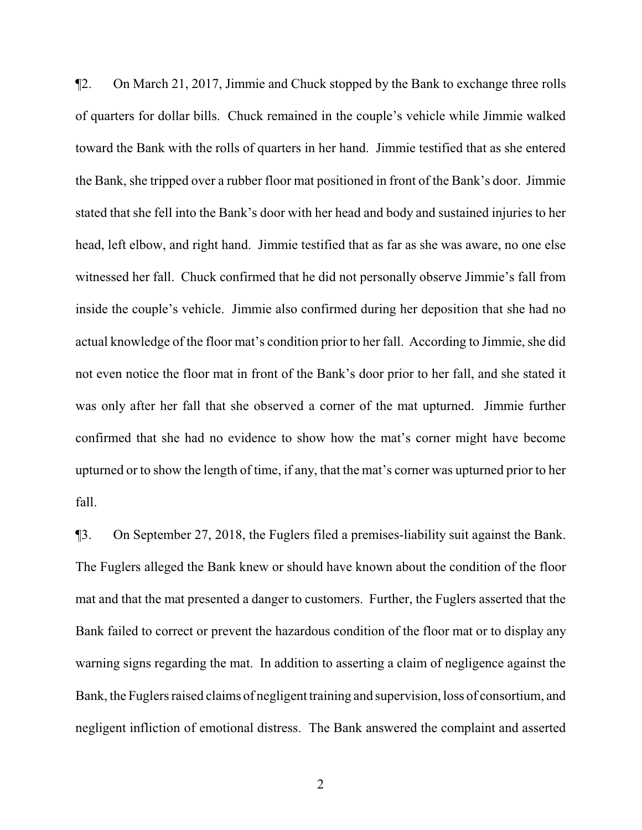¶2. On March 21, 2017, Jimmie and Chuck stopped by the Bank to exchange three rolls of quarters for dollar bills. Chuck remained in the couple's vehicle while Jimmie walked toward the Bank with the rolls of quarters in her hand. Jimmie testified that as she entered the Bank, she tripped over a rubber floor mat positioned in front of the Bank's door. Jimmie stated that she fell into the Bank's door with her head and body and sustained injuries to her head, left elbow, and right hand. Jimmie testified that as far as she was aware, no one else witnessed her fall. Chuck confirmed that he did not personally observe Jimmie's fall from inside the couple's vehicle. Jimmie also confirmed during her deposition that she had no actual knowledge of the floor mat's condition prior to her fall. According to Jimmie, she did not even notice the floor mat in front of the Bank's door prior to her fall, and she stated it was only after her fall that she observed a corner of the mat upturned. Jimmie further confirmed that she had no evidence to show how the mat's corner might have become upturned or to show the length of time, if any, that the mat's corner was upturned prior to her fall.

¶3. On September 27, 2018, the Fuglers filed a premises-liability suit against the Bank. The Fuglers alleged the Bank knew or should have known about the condition of the floor mat and that the mat presented a danger to customers. Further, the Fuglers asserted that the Bank failed to correct or prevent the hazardous condition of the floor mat or to display any warning signs regarding the mat. In addition to asserting a claim of negligence against the Bank, the Fuglers raised claims of negligent training and supervision, loss of consortium, and negligent infliction of emotional distress. The Bank answered the complaint and asserted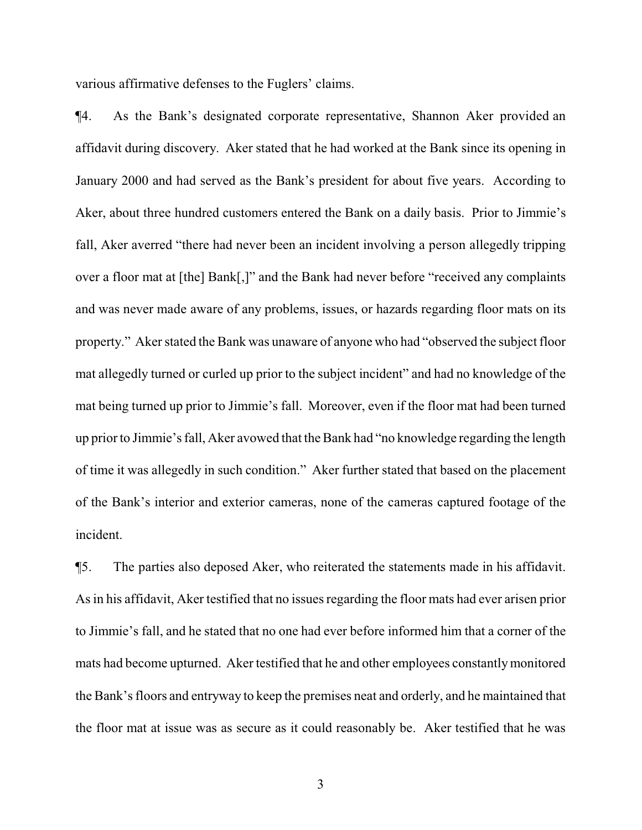various affirmative defenses to the Fuglers' claims.

¶4. As the Bank's designated corporate representative, Shannon Aker provided an affidavit during discovery. Aker stated that he had worked at the Bank since its opening in January 2000 and had served as the Bank's president for about five years. According to Aker, about three hundred customers entered the Bank on a daily basis. Prior to Jimmie's fall, Aker averred "there had never been an incident involving a person allegedly tripping over a floor mat at [the] Bank[,]" and the Bank had never before "received any complaints and was never made aware of any problems, issues, or hazards regarding floor mats on its property." Aker stated the Bank was unaware of anyone who had "observed the subject floor mat allegedly turned or curled up prior to the subject incident" and had no knowledge of the mat being turned up prior to Jimmie's fall. Moreover, even if the floor mat had been turned up prior to Jimmie's fall, Aker avowed that the Bank had "no knowledge regarding the length of time it was allegedly in such condition." Aker further stated that based on the placement of the Bank's interior and exterior cameras, none of the cameras captured footage of the incident.

¶5. The parties also deposed Aker, who reiterated the statements made in his affidavit. As in his affidavit, Aker testified that no issues regarding the floor mats had ever arisen prior to Jimmie's fall, and he stated that no one had ever before informed him that a corner of the mats had become upturned. Aker testified that he and other employees constantlymonitored the Bank's floors and entryway to keep the premises neat and orderly, and he maintained that the floor mat at issue was as secure as it could reasonably be. Aker testified that he was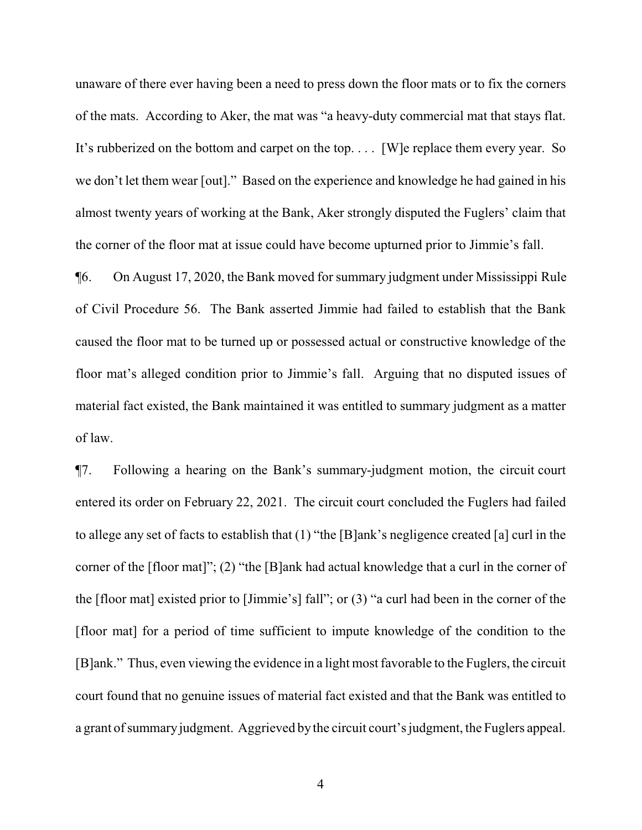unaware of there ever having been a need to press down the floor mats or to fix the corners of the mats. According to Aker, the mat was "a heavy-duty commercial mat that stays flat. It's rubberized on the bottom and carpet on the top. . . . [W]e replace them every year. So we don't let them wear [out]." Based on the experience and knowledge he had gained in his almost twenty years of working at the Bank, Aker strongly disputed the Fuglers' claim that the corner of the floor mat at issue could have become upturned prior to Jimmie's fall.

¶6. On August 17, 2020, the Bank moved for summary judgment under Mississippi Rule of Civil Procedure 56. The Bank asserted Jimmie had failed to establish that the Bank caused the floor mat to be turned up or possessed actual or constructive knowledge of the floor mat's alleged condition prior to Jimmie's fall. Arguing that no disputed issues of material fact existed, the Bank maintained it was entitled to summary judgment as a matter of law.

¶7. Following a hearing on the Bank's summary-judgment motion, the circuit court entered its order on February 22, 2021. The circuit court concluded the Fuglers had failed to allege any set of facts to establish that (1) "the [B]ank's negligence created [a] curl in the corner of the [floor mat]"; (2) "the [B]ank had actual knowledge that a curl in the corner of the [floor mat] existed prior to [Jimmie's] fall"; or (3) "a curl had been in the corner of the [floor mat] for a period of time sufficient to impute knowledge of the condition to the [B]ank." Thus, even viewing the evidence in a light most favorable to the Fuglers, the circuit court found that no genuine issues of material fact existed and that the Bank was entitled to a grant of summary judgment. Aggrieved by the circuit court's judgment, the Fuglers appeal.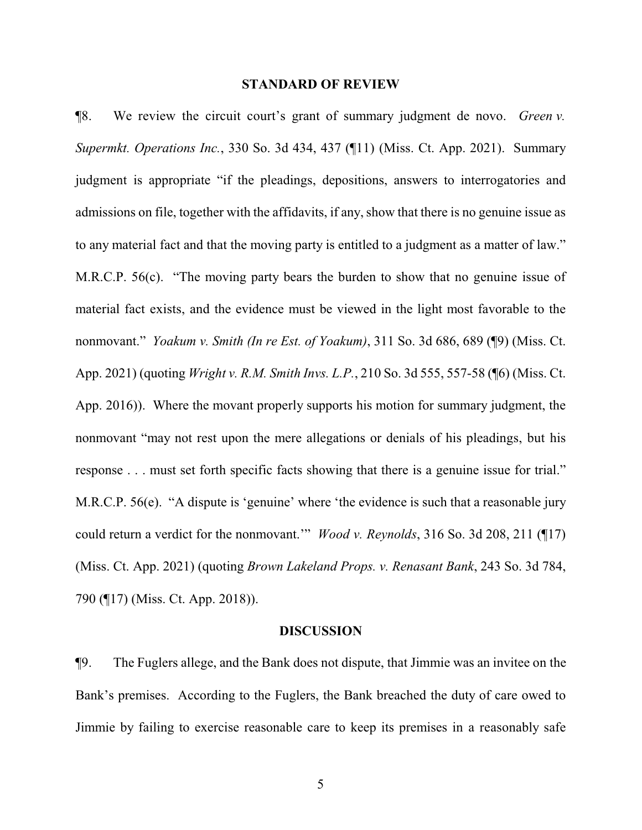### **STANDARD OF REVIEW**

¶8. We review the circuit court's grant of summary judgment de novo. *Green v. Supermkt. Operations Inc.*, 330 So. 3d 434, 437 (¶11) (Miss. Ct. App. 2021). Summary judgment is appropriate "if the pleadings, depositions, answers to interrogatories and admissions on file, together with the affidavits, if any, show that there is no genuine issue as to any material fact and that the moving party is entitled to a judgment as a matter of law." M.R.C.P. 56(c). "The moving party bears the burden to show that no genuine issue of material fact exists, and the evidence must be viewed in the light most favorable to the nonmovant." *Yoakum v. Smith (In re Est. of Yoakum)*, 311 So. 3d 686, 689 (¶9) (Miss. Ct. App. 2021) (quoting *Wright v. R.M. Smith Invs. L.P.*, 210 So. 3d 555, 557-58 (¶6) (Miss. Ct. App. 2016)). Where the movant properly supports his motion for summary judgment, the nonmovant "may not rest upon the mere allegations or denials of his pleadings, but his response . . . must set forth specific facts showing that there is a genuine issue for trial." M.R.C.P. 56(e). "A dispute is 'genuine' where 'the evidence is such that a reasonable jury could return a verdict for the nonmovant.'" *Wood v. Reynolds*, 316 So. 3d 208, 211 (¶17) (Miss. Ct. App. 2021) (quoting *Brown Lakeland Props. v. Renasant Bank*, 243 So. 3d 784, 790 (¶17) (Miss. Ct. App. 2018)).

### **DISCUSSION**

¶9. The Fuglers allege, and the Bank does not dispute, that Jimmie was an invitee on the Bank's premises. According to the Fuglers, the Bank breached the duty of care owed to Jimmie by failing to exercise reasonable care to keep its premises in a reasonably safe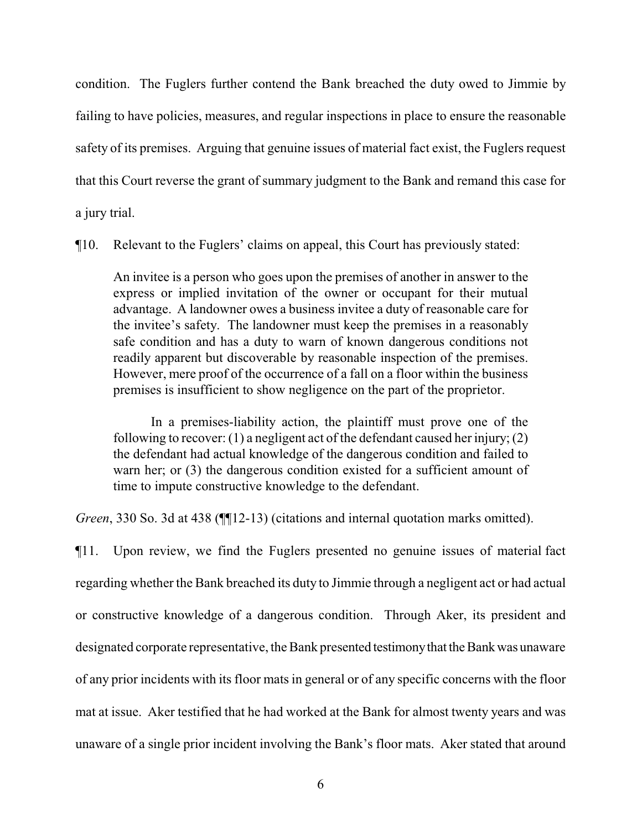condition. The Fuglers further contend the Bank breached the duty owed to Jimmie by failing to have policies, measures, and regular inspections in place to ensure the reasonable safety of its premises. Arguing that genuine issues of material fact exist, the Fuglers request that this Court reverse the grant of summary judgment to the Bank and remand this case for a jury trial.

¶10. Relevant to the Fuglers' claims on appeal, this Court has previously stated:

An invitee is a person who goes upon the premises of another in answer to the express or implied invitation of the owner or occupant for their mutual advantage. A landowner owes a business invitee a duty of reasonable care for the invitee's safety. The landowner must keep the premises in a reasonably safe condition and has a duty to warn of known dangerous conditions not readily apparent but discoverable by reasonable inspection of the premises. However, mere proof of the occurrence of a fall on a floor within the business premises is insufficient to show negligence on the part of the proprietor.

In a premises-liability action, the plaintiff must prove one of the following to recover: (1) a negligent act of the defendant caused her injury; (2) the defendant had actual knowledge of the dangerous condition and failed to warn her; or (3) the dangerous condition existed for a sufficient amount of time to impute constructive knowledge to the defendant.

*Green*, 330 So. 3d at 438 (¶¶12-13) (citations and internal quotation marks omitted).

¶11. Upon review, we find the Fuglers presented no genuine issues of material fact regarding whether the Bank breached its duty to Jimmie through a negligent act or had actual or constructive knowledge of a dangerous condition. Through Aker, its president and designated corporate representative, the Bank presented testimony that the Bank was unaware of any prior incidents with its floor mats in general or of any specific concerns with the floor mat at issue. Aker testified that he had worked at the Bank for almost twenty years and was unaware of a single prior incident involving the Bank's floor mats. Aker stated that around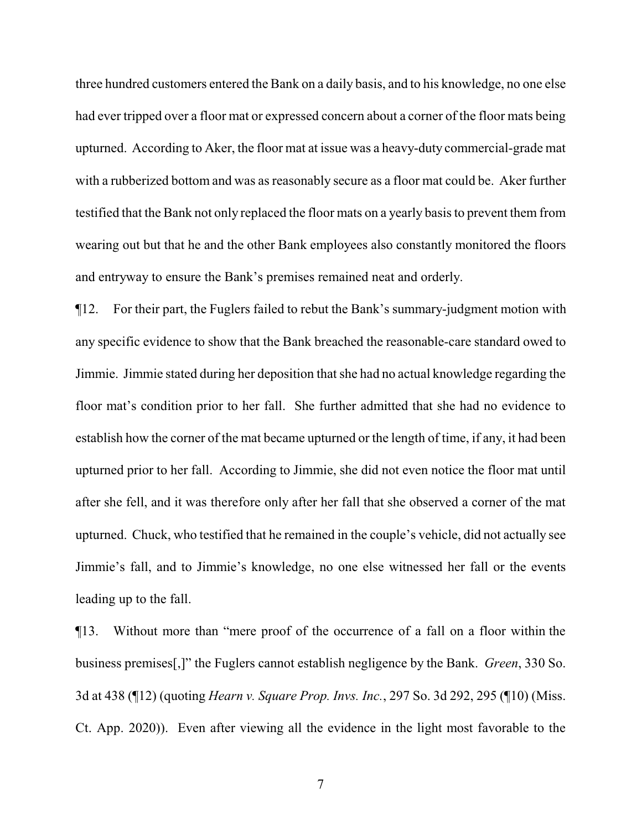three hundred customers entered the Bank on a daily basis, and to his knowledge, no one else had ever tripped over a floor mat or expressed concern about a corner of the floor mats being upturned. According to Aker, the floor mat at issue was a heavy-duty commercial-grade mat with a rubberized bottom and was as reasonably secure as a floor mat could be. Aker further testified that the Bank not only replaced the floor mats on a yearly basis to prevent them from wearing out but that he and the other Bank employees also constantly monitored the floors and entryway to ensure the Bank's premises remained neat and orderly.

¶12. For their part, the Fuglers failed to rebut the Bank's summary-judgment motion with any specific evidence to show that the Bank breached the reasonable-care standard owed to Jimmie. Jimmie stated during her deposition that she had no actual knowledge regarding the floor mat's condition prior to her fall. She further admitted that she had no evidence to establish how the corner of the mat became upturned or the length of time, if any, it had been upturned prior to her fall. According to Jimmie, she did not even notice the floor mat until after she fell, and it was therefore only after her fall that she observed a corner of the mat upturned. Chuck, who testified that he remained in the couple's vehicle, did not actually see Jimmie's fall, and to Jimmie's knowledge, no one else witnessed her fall or the events leading up to the fall.

¶13. Without more than "mere proof of the occurrence of a fall on a floor within the business premises[,]" the Fuglers cannot establish negligence by the Bank. *Green*, 330 So. 3d at 438 (¶12) (quoting *Hearn v. Square Prop. Invs. Inc.*, 297 So. 3d 292, 295 (¶10) (Miss. Ct. App. 2020)). Even after viewing all the evidence in the light most favorable to the